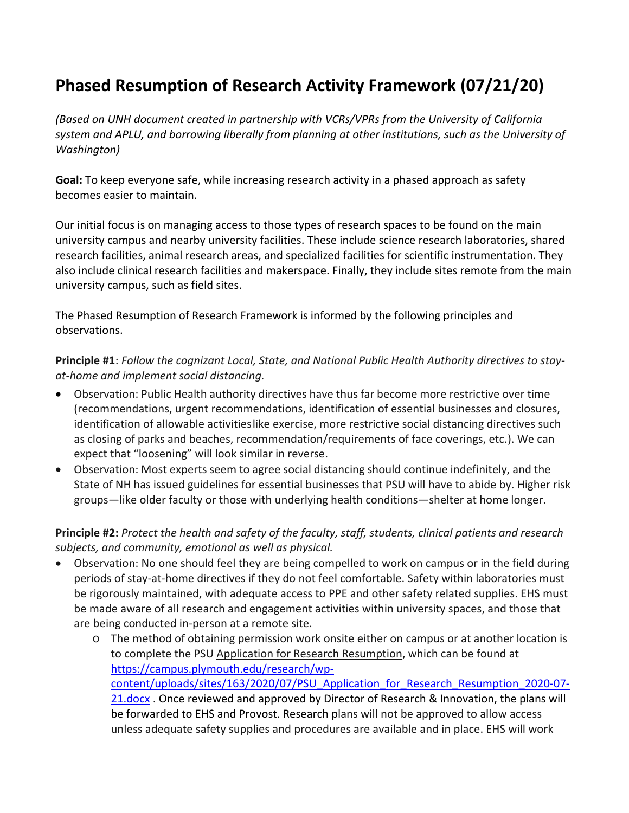# **Phased Resumption of Research Activity Framework (07/21/20)**

*(Based on UNH document created in partnership with VCRs/VPRs from the University of California system and APLU, and borrowing liberally from planning at other institutions, such as the University of Washington)*

**Goal:** To keep everyone safe, while increasing research activity in a phased approach as safety becomes easier to maintain.

Our initial focus is on managing access to those types of research spaces to be found on the main university campus and nearby university facilities. These include science research laboratories, shared research facilities, animal research areas, and specialized facilities for scientific instrumentation. They also include clinical research facilities and makerspace. Finally, they include sites remote from the main university campus, such as field sites.

The Phased Resumption of Research Framework is informed by the following principles and observations.

**Principle #1**: *Follow the cognizant Local, State, and National Public Health Authority directives to stayat-home and implement social distancing.*

- Observation: Public Health authority directives have thus far become more restrictive over time (recommendations, urgent recommendations, identification of essential businesses and closures, identification of allowable activitieslike exercise, more restrictive social distancing directives such as closing of parks and beaches, recommendation/requirements of face coverings, etc.). We can expect that "loosening" will look similar in reverse.
- Observation: Most experts seem to agree social distancing should continue indefinitely, and the State of NH has issued guidelines for essential businesses that PSU will have to abide by. Higher risk groups—like older faculty or those with underlying health conditions—shelter at home longer.

## **Principle #2:** *Protect the health and safety of the faculty, staff, students, clinical patients and research subjects, and community, emotional as well as physical.*

- Observation: No one should feel they are being compelled to work on campus or in the field during periods of stay-at-home directives if they do not feel comfortable. Safety within laboratories must be rigorously maintained, with adequate access to PPE and other safety related supplies. EHS must be made aware of all research and engagement activities within university spaces, and those that are being conducted in-person at a remote site.
	- o The method of obtaining permission work onsite either on campus or at another location is to complete the PSU Application for Research Resumption, which can be found at [https://campus.plymouth.edu/research/wp](https://campus.plymouth.edu/research/wp-content/uploads/sites/163/2020/07/PSU_Application_for_Research_Resumption_2020-07-21.docx)[content/uploads/sites/163/2020/07/PSU\\_Application\\_for\\_Research\\_Resumption\\_2020-07-](https://campus.plymouth.edu/research/wp-content/uploads/sites/163/2020/07/PSU_Application_for_Research_Resumption_2020-07-21.docx) [21.docx](https://campus.plymouth.edu/research/wp-content/uploads/sites/163/2020/07/PSU_Application_for_Research_Resumption_2020-07-21.docx). Once reviewed and approved by Director of Research & Innovation, the plans will be forwarded to EHS and Provost. Research plans will not be approved to allow access unless adequate safety supplies and procedures are available and in place. EHS will work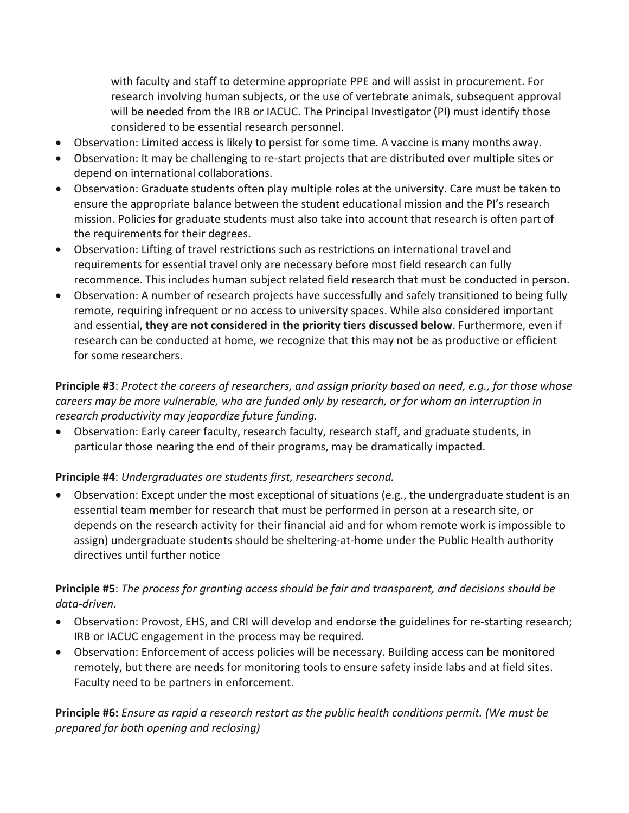with faculty and staff to determine appropriate PPE and will assist in procurement. For research involving human subjects, or the use of vertebrate animals, subsequent approval will be needed from the IRB or IACUC. The Principal Investigator (PI) must identify those considered to be essential research personnel.

- Observation: Limited access is likely to persist for some time. A vaccine is many months away.
- Observation: It may be challenging to re-start projects that are distributed over multiple sites or depend on international collaborations.
- Observation: Graduate students often play multiple roles at the university. Care must be taken to ensure the appropriate balance between the student educational mission and the PI's research mission. Policies for graduate students must also take into account that research is often part of the requirements for their degrees.
- Observation: Lifting of travel restrictions such as restrictions on international travel and requirements for essential travel only are necessary before most field research can fully recommence. This includes human subject related field research that must be conducted in person.
- Observation: A number of research projects have successfully and safely transitioned to being fully remote, requiring infrequent or no access to university spaces. While also considered important and essential, **they are not considered in the priority tiers discussed below**. Furthermore, even if research can be conducted at home, we recognize that this may not be as productive or efficient for some researchers.

## **Principle #3**: *Protect the careers of researchers, and assign priority based on need, e.g., for those whose careers may be more vulnerable, who are funded only by research, or for whom an interruption in research productivity may jeopardize future funding.*

• Observation: Early career faculty, research faculty, research staff, and graduate students, in particular those nearing the end of their programs, may be dramatically impacted.

## **Principle #4**: *Undergraduates are students first, researchers second.*

• Observation: Except under the most exceptional of situations (e.g., the undergraduate student is an essential team member for research that must be performed in person at a research site, or depends on the research activity for their financial aid and for whom remote work is impossible to assign) undergraduate students should be sheltering-at-home under the Public Health authority directives until further notice

#### **Principle #5**: *The process for granting access should be fair and transparent, and decisions should be data-driven.*

- Observation: Provost, EHS, and CRI will develop and endorse the guidelines for re-starting research; IRB or IACUC engagement in the process may be required.
- Observation: Enforcement of access policies will be necessary. Building access can be monitored remotely, but there are needs for monitoring tools to ensure safety inside labs and at field sites. Faculty need to be partners in enforcement.

**Principle #6:** *Ensure as rapid a research restart as the public health conditions permit. (We must be prepared for both opening and reclosing)*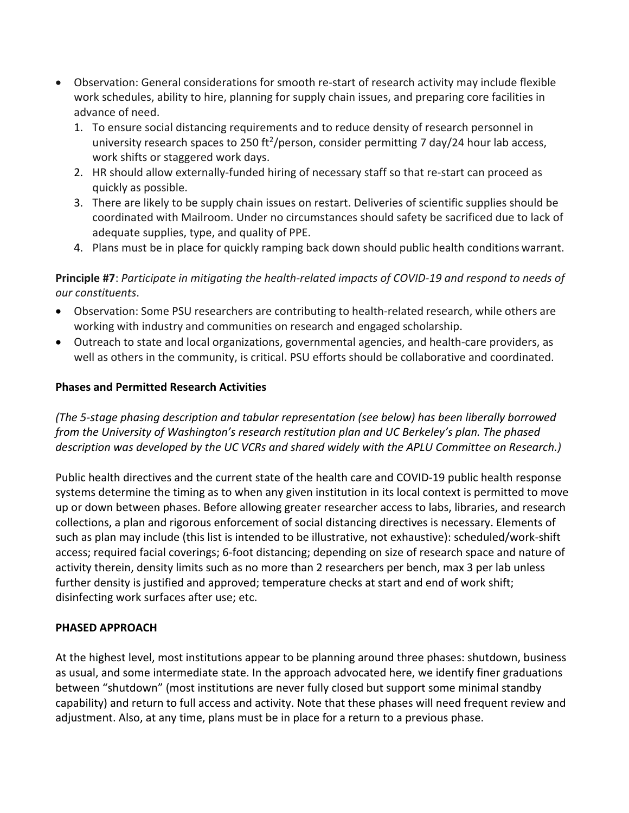- Observation: General considerations for smooth re-start of research activity may include flexible work schedules, ability to hire, planning for supply chain issues, and preparing core facilities in advance of need.
	- 1. To ensure social distancing requirements and to reduce density of research personnel in university research spaces to 250 ft<sup>2</sup>/person, consider permitting 7 day/24 hour lab access, work shifts or staggered work days.
	- 2. HR should allow externally-funded hiring of necessary staff so that re-start can proceed as quickly as possible.
	- 3. There are likely to be supply chain issues on restart. Deliveries of scientific supplies should be coordinated with Mailroom. Under no circumstances should safety be sacrificed due to lack of adequate supplies, type, and quality of PPE.
	- 4. Plans must be in place for quickly ramping back down should public health conditions warrant.

**Principle #7**: *Participate in mitigating the health-related impacts of COVID-19 and respond to needs of our constituents*.

- Observation: Some PSU researchers are contributing to health-related research, while others are working with industry and communities on research and engaged scholarship.
- Outreach to state and local organizations, governmental agencies, and health-care providers, as well as others in the community, is critical. PSU efforts should be collaborative and coordinated.

#### **Phases and Permitted Research Activities**

*(The 5-stage phasing description and tabular representation (see below) has been liberally borrowed from the University of Washington's research restitution plan and UC Berkeley's plan. The phased description was developed by the UC VCRs and shared widely with the APLU Committee on Research.)*

Public health directives and the current state of the health care and COVID-19 public health response systems determine the timing as to when any given institution in its local context is permitted to move up or down between phases. Before allowing greater researcher access to labs, libraries, and research collections, a plan and rigorous enforcement of social distancing directives is necessary. Elements of such as plan may include (this list is intended to be illustrative, not exhaustive): scheduled/work-shift access; required facial coverings; 6-foot distancing; depending on size of research space and nature of activity therein, density limits such as no more than 2 researchers per bench, max 3 per lab unless further density is justified and approved; temperature checks at start and end of work shift; disinfecting work surfaces after use; etc.

#### **PHASED APPROACH**

At the highest level, most institutions appear to be planning around three phases: shutdown, business as usual, and some intermediate state. In the approach advocated here, we identify finer graduations between "shutdown" (most institutions are never fully closed but support some minimal standby capability) and return to full access and activity. Note that these phases will need frequent review and adjustment. Also, at any time, plans must be in place for a return to a previous phase.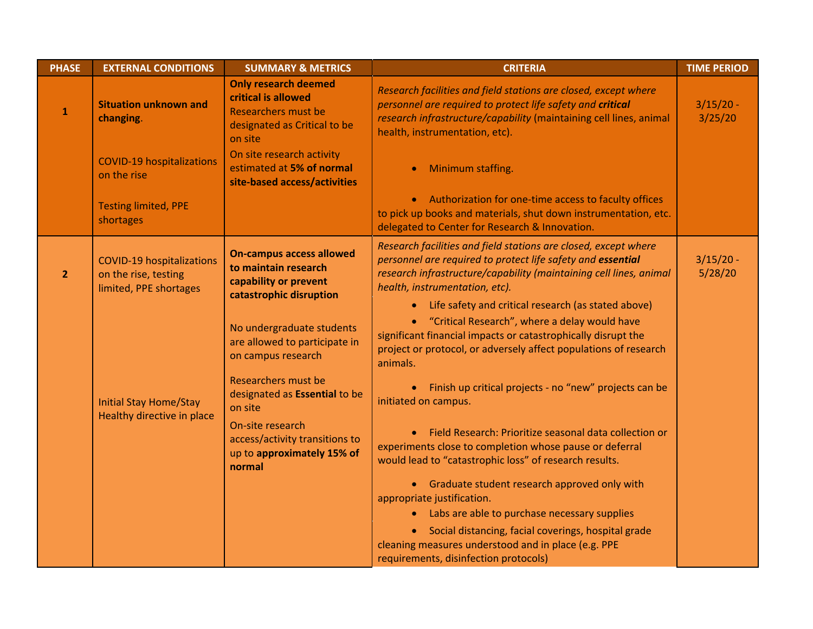| <b>PHASE</b>   | <b>EXTERNAL CONDITIONS</b>                                                         | <b>SUMMARY &amp; METRICS</b>                                                                                                | <b>CRITERIA</b>                                                                                                                                                                                                                                                                                 | <b>TIME PERIOD</b>     |
|----------------|------------------------------------------------------------------------------------|-----------------------------------------------------------------------------------------------------------------------------|-------------------------------------------------------------------------------------------------------------------------------------------------------------------------------------------------------------------------------------------------------------------------------------------------|------------------------|
| $\mathbf{1}$   | <b>Situation unknown and</b><br>changing.                                          | <b>Only research deemed</b><br>critical is allowed<br><b>Researchers must be</b><br>designated as Critical to be<br>on site | Research facilities and field stations are closed, except where<br>personnel are required to protect life safety and critical<br>research infrastructure/capability (maintaining cell lines, animal<br>health, instrumentation, etc).                                                           | $3/15/20 -$<br>3/25/20 |
|                | <b>COVID-19 hospitalizations</b><br>on the rise                                    | On site research activity<br>estimated at 5% of normal<br>site-based access/activities                                      | Minimum staffing.                                                                                                                                                                                                                                                                               |                        |
|                | <b>Testing limited, PPE</b><br>shortages                                           |                                                                                                                             | • Authorization for one-time access to faculty offices<br>to pick up books and materials, shut down instrumentation, etc.<br>delegated to Center for Research & Innovation.                                                                                                                     |                        |
| $\overline{2}$ | <b>COVID-19 hospitalizations</b><br>on the rise, testing<br>limited, PPE shortages | <b>On-campus access allowed</b><br>to maintain research<br>capability or prevent<br>catastrophic disruption                 | Research facilities and field stations are closed, except where<br>personnel are required to protect life safety and essential<br>research infrastructure/capability (maintaining cell lines, animal<br>health, instrumentation, etc).<br>• Life safety and critical research (as stated above) | $3/15/20 -$<br>5/28/20 |
|                |                                                                                    | No undergraduate students<br>are allowed to participate in<br>on campus research                                            | • "Critical Research", where a delay would have<br>significant financial impacts or catastrophically disrupt the<br>project or protocol, or adversely affect populations of research<br>animals.                                                                                                |                        |
|                | <b>Initial Stay Home/Stay</b><br>Healthy directive in place                        | Researchers must be<br>designated as Essential to be<br>on site                                                             | • Finish up critical projects - no "new" projects can be<br>initiated on campus.                                                                                                                                                                                                                |                        |
|                |                                                                                    | On-site research<br>access/activity transitions to<br>up to approximately 15% of<br>normal                                  | • Field Research: Prioritize seasonal data collection or<br>experiments close to completion whose pause or deferral<br>would lead to "catastrophic loss" of research results.                                                                                                                   |                        |
|                |                                                                                    |                                                                                                                             | • Graduate student research approved only with<br>appropriate justification.<br>• Labs are able to purchase necessary supplies                                                                                                                                                                  |                        |
|                |                                                                                    |                                                                                                                             | Social distancing, facial coverings, hospital grade<br>cleaning measures understood and in place (e.g. PPE<br>requirements, disinfection protocols)                                                                                                                                             |                        |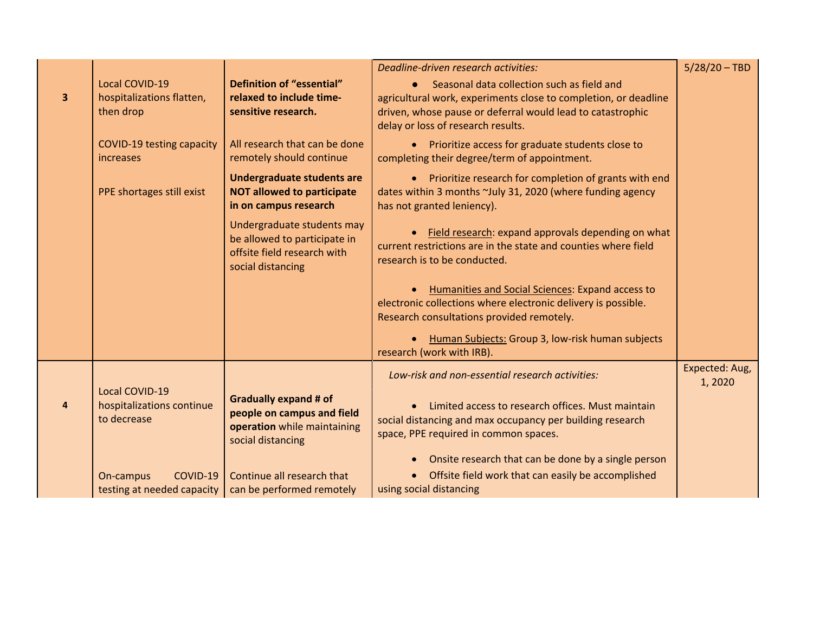| 3 | <b>Local COVID-19</b><br>hospitalizations flatten,<br>then drop   | Definition of "essential"<br>relaxed to include time-<br>sensitive research.                                   | Deadline-driven research activities:<br>Seasonal data collection such as field and<br>agricultural work, experiments close to completion, or deadline<br>driven, whose pause or deferral would lead to catastrophic<br>delay or loss of research results. | $5/28/20 - TBD$          |
|---|-------------------------------------------------------------------|----------------------------------------------------------------------------------------------------------------|-----------------------------------------------------------------------------------------------------------------------------------------------------------------------------------------------------------------------------------------------------------|--------------------------|
|   | COVID-19 testing capacity<br>increases                            | All research that can be done<br>remotely should continue                                                      | • Prioritize access for graduate students close to<br>completing their degree/term of appointment.                                                                                                                                                        |                          |
|   | PPE shortages still exist                                         | Undergraduate students are<br><b>NOT allowed to participate</b><br>in on campus research                       | • Prioritize research for completion of grants with end<br>dates within 3 months ~July 31, 2020 (where funding agency<br>has not granted leniency).                                                                                                       |                          |
|   |                                                                   | Undergraduate students may<br>be allowed to participate in<br>offsite field research with<br>social distancing | • Field research: expand approvals depending on what<br>current restrictions are in the state and counties where field<br>research is to be conducted.                                                                                                    |                          |
|   |                                                                   |                                                                                                                | Humanities and Social Sciences: Expand access to<br>electronic collections where electronic delivery is possible.<br>Research consultations provided remotely.                                                                                            |                          |
|   |                                                                   |                                                                                                                | Human Subjects: Group 3, low-risk human subjects<br>research (work with IRB).                                                                                                                                                                             |                          |
|   |                                                                   |                                                                                                                | Low-risk and non-essential research activities:                                                                                                                                                                                                           | Expected: Aug,<br>1,2020 |
| 4 | <b>Local COVID-19</b><br>hospitalizations continue<br>to decrease | <b>Gradually expand # of</b><br>people on campus and field<br>operation while maintaining<br>social distancing | • Limited access to research offices. Must maintain<br>social distancing and max occupancy per building research<br>space, PPE required in common spaces.                                                                                                 |                          |
|   | COVID-19<br>On-campus<br>testing at needed capacity               | Continue all research that<br>can be performed remotely                                                        | Onsite research that can be done by a single person<br>• Offsite field work that can easily be accomplished<br>using social distancing                                                                                                                    |                          |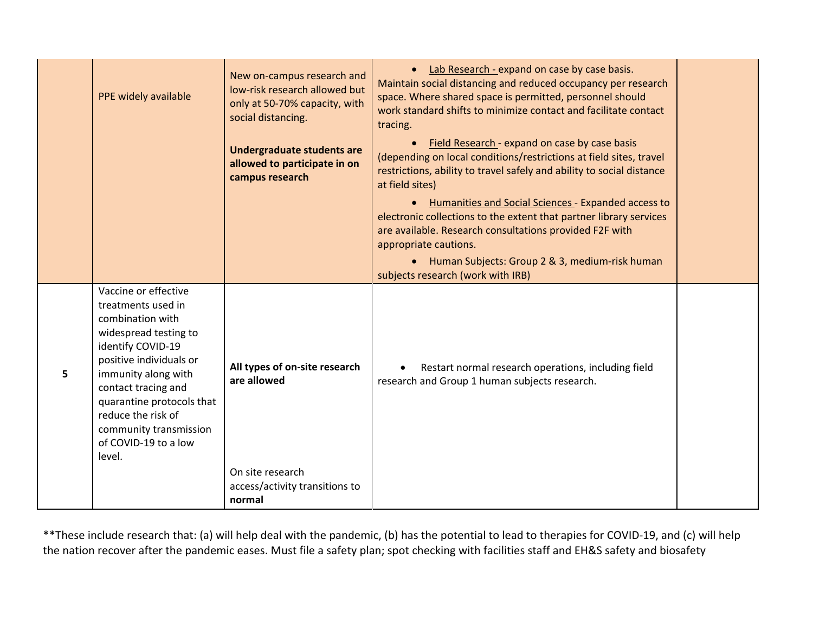|   | PPE widely available                                                                                                                                                                                                                                                                                 | New on-campus research and<br>low-risk research allowed but<br>only at 50-70% capacity, with<br>social distancing. | • Lab Research - expand on case by case basis.<br>Maintain social distancing and reduced occupancy per research<br>space. Where shared space is permitted, personnel should<br>work standard shifts to minimize contact and facilitate contact<br>tracing.<br>Field Research - expand on case by case basis |  |
|---|------------------------------------------------------------------------------------------------------------------------------------------------------------------------------------------------------------------------------------------------------------------------------------------------------|--------------------------------------------------------------------------------------------------------------------|-------------------------------------------------------------------------------------------------------------------------------------------------------------------------------------------------------------------------------------------------------------------------------------------------------------|--|
|   |                                                                                                                                                                                                                                                                                                      | Undergraduate students are<br>allowed to participate in on<br>campus research                                      | (depending on local conditions/restrictions at field sites, travel<br>restrictions, ability to travel safely and ability to social distance<br>at field sites)                                                                                                                                              |  |
|   |                                                                                                                                                                                                                                                                                                      |                                                                                                                    | Humanities and Social Sciences - Expanded access to<br>electronic collections to the extent that partner library services<br>are available. Research consultations provided F2F with<br>appropriate cautions.                                                                                               |  |
|   |                                                                                                                                                                                                                                                                                                      |                                                                                                                    | • Human Subjects: Group 2 & 3, medium-risk human<br>subjects research (work with IRB)                                                                                                                                                                                                                       |  |
| 5 | Vaccine or effective<br>treatments used in<br>combination with<br>widespread testing to<br>identify COVID-19<br>positive individuals or<br>immunity along with<br>contact tracing and<br>quarantine protocols that<br>reduce the risk of<br>community transmission<br>of COVID-19 to a low<br>level. | All types of on-site research<br>are allowed                                                                       | Restart normal research operations, including field<br>research and Group 1 human subjects research.                                                                                                                                                                                                        |  |
|   |                                                                                                                                                                                                                                                                                                      | On site research<br>access/activity transitions to<br>normal                                                       |                                                                                                                                                                                                                                                                                                             |  |

\*\*These include research that: (a) will help deal with the pandemic, (b) has the potential to lead to therapies for COVID-19, and (c) will help the nation recover after the pandemic eases. Must file a safety plan; spot checking with facilities staff and EH&S safety and biosafety